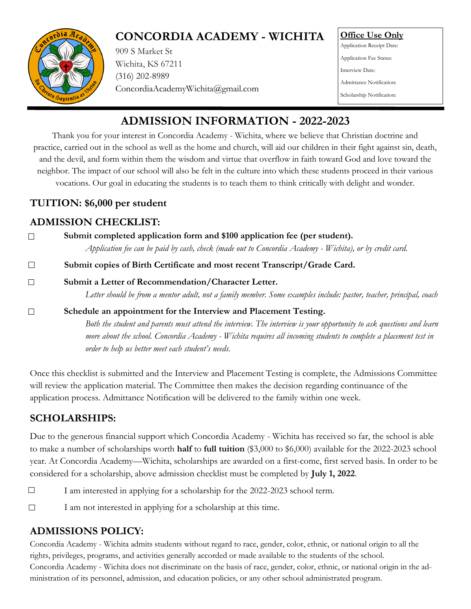# **CONCORDIA ACADEMY - WICHITA**



909 S Market St Wichita, KS 67211 [\(316\) 202-8989](tel:3162028989) ConcordiaAcademyWichita@gmail.com **Office Use Only** Application Receipt Date: Application Fee Status: Interview Date: Admittance Notification: Scholarship Notification:

# **ADMISSION INFORMATION - 2022-2023**

Thank you for your interest in Concordia Academy - Wichita, where we believe that Christian doctrine and practice, carried out in the school as well as the home and church, will aid our children in their fight against sin, death, and the devil, and form within them the wisdom and virtue that overflow in faith toward God and love toward the neighbor. The impact of our school will also be felt in the culture into which these students proceed in their various vocations. Our goal in educating the students is to teach them to think critically with delight and wonder.

#### **TUITION: \$6,000 per student**

### **ADMISSION CHECKLIST:**

| Submit completed application form and \$100 application fee (per student).                                                                                                 |  |  |
|----------------------------------------------------------------------------------------------------------------------------------------------------------------------------|--|--|
| Application fee can be paid by cash, check (made out to Concordia Academy - Wichita), or by credit card.                                                                   |  |  |
| Submit copies of Birth Certificate and most recent Transcript/Grade Card.                                                                                                  |  |  |
| Submit a Letter of Recommendation/Character Letter.<br>Letter should be from a mentor adult, not a family member. Some examples include: pastor, teacher, principal, coach |  |  |

#### $\Box$ **Schedule an appointment for the Interview and Placement Testing.**  *Both the student and parents must attend the interview. The interview is your opportunity to ask questions and learn more about the school. Concordia Academy - Wichita requires all incoming students to complete a placement test in order to help us better meet each student's needs.*

Once this checklist is submitted and the Interview and Placement Testing is complete, the Admissions Committee will review the application material. The Committee then makes the decision regarding continuance of the application process. Admittance Notification will be delivered to the family within one week.

# **SCHOLARSHIPS:**

Due to the generous financial support which Concordia Academy - Wichita has received so far, the school is able to make a number of scholarships worth **half** to **full tuition** (\$3,000 to \$6,000) available for the 2022-2023 school year. At Concordia Academy—Wichita, scholarships are awarded on a first-come, first served basis. In order to be considered for a scholarship, above admission checklist must be completed by **July 1, 2022**.

- $\Box$ I am interested in applying for a scholarship for the 2022-2023 school term.
- $\Box$ I am not interested in applying for a scholarship at this time.

# **ADMISSIONS POLICY:**

Concordia Academy - Wichita admits students without regard to race, gender, color, ethnic, or national origin to all the rights, privileges, programs, and activities generally accorded or made available to the students of the school. Concordia Academy - Wichita does not discriminate on the basis of race, gender, color, ethnic, or national origin in the administration of its personnel, admission, and education policies, or any other school administrated program.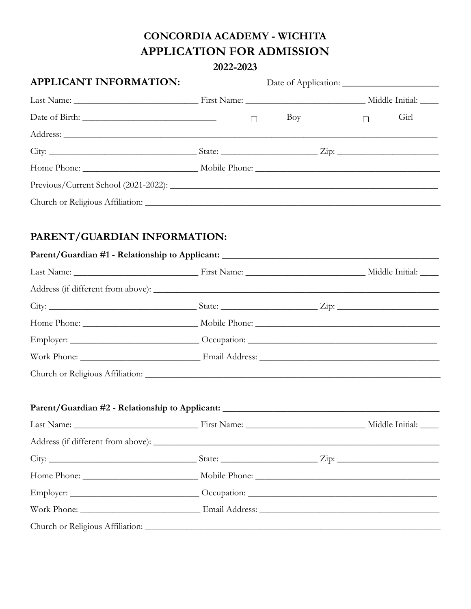## CONCORDIA ACADEMY - WICHITA **APPLICATION FOR ADMISSION**

#### 2022-2023

| <b>APPLICANT INFORMATION:</b>                                                     |        |     |        |      |  |
|-----------------------------------------------------------------------------------|--------|-----|--------|------|--|
|                                                                                   |        |     |        |      |  |
|                                                                                   | $\Box$ | Boy | $\Box$ | Girl |  |
|                                                                                   |        |     |        |      |  |
|                                                                                   |        |     |        |      |  |
|                                                                                   |        |     |        |      |  |
|                                                                                   |        |     |        |      |  |
|                                                                                   |        |     |        |      |  |
| PARENT/GUARDIAN INFORMATION:                                                      |        |     |        |      |  |
| Parent/Guardian #1 - Relationship to Applicant: _________________________________ |        |     |        |      |  |
|                                                                                   |        |     |        |      |  |
|                                                                                   |        |     |        |      |  |
|                                                                                   |        |     |        |      |  |
|                                                                                   |        |     |        |      |  |
|                                                                                   |        |     |        |      |  |
|                                                                                   |        |     |        |      |  |
|                                                                                   |        |     |        |      |  |
| Parent/Guardian #2 - Relationship to Applicant: _________________________________ |        |     |        |      |  |
|                                                                                   |        |     |        |      |  |
|                                                                                   |        |     |        |      |  |
|                                                                                   |        |     |        |      |  |
|                                                                                   |        |     |        |      |  |
|                                                                                   |        |     |        |      |  |
|                                                                                   |        |     |        |      |  |